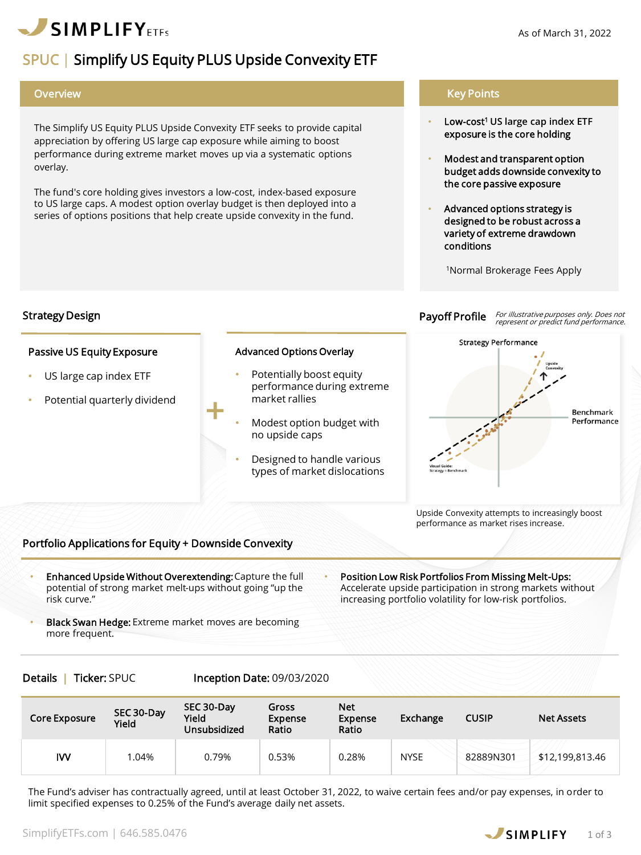

Passive US Equity Exposure

Strategy Design

US large cap index ETF

Potential quarterly dividend

The Simplify US Equity PLUS Upside Convexity ETF seeks to provide capital appreciation by offering US large cap exposure while aiming to boost performance during extreme market moves up via a systematic options overlay.

The fund's core holding gives investors a low-cost, index-based exposure to US large caps. A modest option overlay budget is then deployed into a series of options positions that help create upside convexity in the fund.

+

## Overview Key Points

- Low-cost<sup>1</sup> **US large cap index ETF**  exposure is the core holding
- Modest and transparent option budget adds downside convexity to the core passive exposure
- Advanced options strategy is designed to be robust across a variety of extreme drawdown conditions

<sup>1</sup>Normal Brokerage Fees Apply

Payoff Profile For illustrative purposes only. Does not<br>represent or predict fund performance.



Upside Convexity attempts to increasingly boost performance as market rises increase.

## Portfolio Applications for Equity + Downside Convexity

- Enhanced Upside Without Overextending: Capture the full potential of strong market melt-ups without going "up the risk curve."
- Position Low Risk Portfolios From Missing Melt-Ups: Accelerate upside participation in strong markets without increasing portfolio volatility for low-risk portfolios.
- **Black Swan Hedge:** Extreme market moves are becoming more frequent.

Details | Ticker: SPUC Inception Date: 09/03/2020

| Core Exposure | SEC 30-Day<br>Yield | SEC 30-Day<br>Yield<br><b>Unsubsidized</b> | Gross<br><b>Expense</b><br>Ratio | <b>Net</b><br><b>Expense</b><br>Ratio | Exchange    | <b>CUSIP</b> | <b>Net Assets</b> |
|---------------|---------------------|--------------------------------------------|----------------------------------|---------------------------------------|-------------|--------------|-------------------|
| IW            | $0.04\%$            | 0.79%                                      | 0.53%                            | 0.28%                                 | <b>NYSE</b> | 82889N301    | \$12,199,813.46   |

The Fund's adviser has contractually agreed, until at least October 31, 2022, to waive certain fees and/or pay expenses, in order to limit specified expenses to 0.25% of the Fund's average daily net assets.



Advanced Options Overlay

- Potentially boost equity performance during extreme market rallies
- Modest option budget with no upside caps
- Designed to handle various types of market dislocations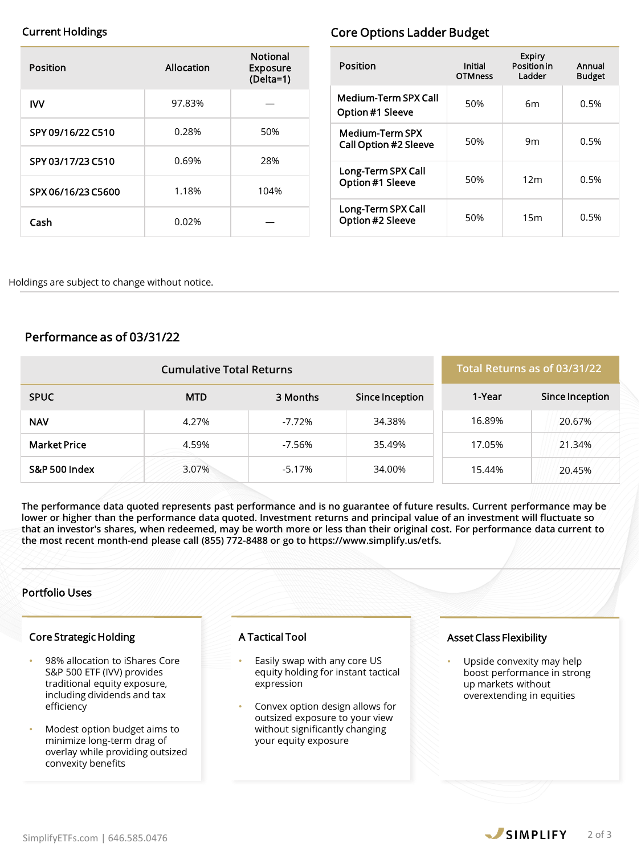| Position           | Allocation | <b>Notional</b><br><b>Exposure</b><br>$(Delta=1)$ |
|--------------------|------------|---------------------------------------------------|
| IW                 | 97.83%     |                                                   |
| SPY 09/16/22 C510  | 0.28%      | 50%                                               |
| SPY 03/17/23 C510  | 0.69%      | 28%                                               |
| SPX 06/16/23 C5600 | 1.18%      | 104%                                              |
| Cash               | 0.02%      |                                                   |

# Current Holdings **Current Holdings Core Options Ladder Budget**

| Position                                               | Initial<br><b>OTMness</b> | <b>Expiry</b><br><b>Position in</b><br>Ladder | Annual<br><b>Budget</b> |
|--------------------------------------------------------|---------------------------|-----------------------------------------------|-------------------------|
| <b>Medium-Term SPX Call</b><br>Option #1 Sleeve        | 50%                       | 6m                                            | 0.5%                    |
| <b>Medium-Term SPX</b><br><b>Call Option #2 Sleeve</b> | 50%                       | 9m                                            | 0.5%                    |
| Long-Term SPX Call<br>Option #1 Sleeve                 | 50%                       | 12 <sub>m</sub>                               | 0.5%                    |
| Long-Term SPX Call<br>Option #2 Sleeve                 | 50%                       | 15m                                           | 0.5%                    |

Holdings are subject to change without notice.

# Performance as of 03/31/22

| <b>Cumulative Total Returns</b> |            |          |                 | Total Returns as of 03/31/22 |                 |
|---------------------------------|------------|----------|-----------------|------------------------------|-----------------|
| <b>SPUC</b>                     | <b>MTD</b> | 3 Months | Since Inception | 1-Year                       | Since Inception |
| <b>NAV</b>                      | 4.27%      | $-7.72%$ | 34.38%          | 16.89%                       | 20.67%          |
| <b>Market Price</b>             | 4.59%      | -7.56%   | 35.49%          | 17.05%                       | 21.34%          |
| S&P 500 Index                   | 3.07%      | $-5.17%$ | 34.00%          | 15.44%                       | 20.45%          |

**The performance data quoted represents past performance and is no guarantee of future results. Current performance may be lower or higher than the performance data quoted. Investment returns and principal value of an investment will fluctuate so that an investor's shares, when redeemed, may be worth more or less than their original cost. For performance data current to the most recent month-end please call (855) 772-8488 or go to https://www.simplify.us/etfs.**

## Portfolio Uses

### Core Strategic Holding

- 98% allocation to iShares Core S&P 500 ETF (IVV) provides traditional equity exposure, including dividends and tax efficiency
- Modest option budget aims to minimize long-term drag of overlay while providing outsized convexity benefits

## A Tactical Tool

- Easily swap with any core US equity holding for instant tactical expression
- Convex option design allows for outsized exposure to your view without significantly changing your equity exposure

## Asset Class Flexibility

Upside convexity may help boost performance in strong up markets without overextending in equities